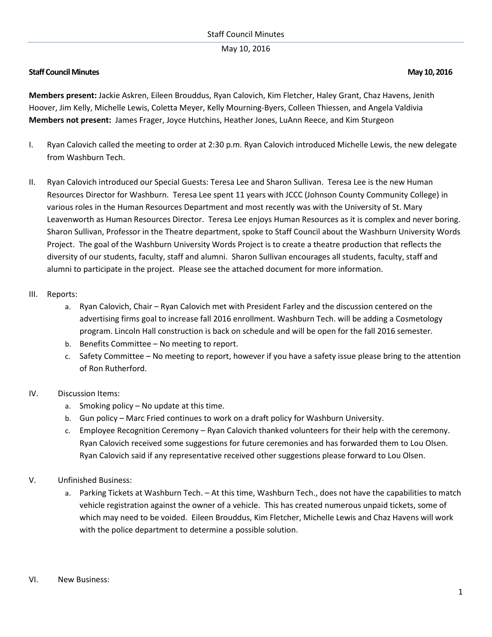#### Staff Council Minutes

## May 10, 2016

## **Staff Council Minutes May 10, 2016**

**Members present:** Jackie Askren, Eileen Brouddus, Ryan Calovich, Kim Fletcher, Haley Grant, Chaz Havens, Jenith Hoover, Jim Kelly, Michelle Lewis, Coletta Meyer, Kelly Mourning-Byers, Colleen Thiessen, and Angela Valdivia **Members not present:** James Frager, Joyce Hutchins, Heather Jones, LuAnn Reece, and Kim Sturgeon

- I. Ryan Calovich called the meeting to order at 2:30 p.m. Ryan Calovich introduced Michelle Lewis, the new delegate from Washburn Tech.
- II. Ryan Calovich introduced our Special Guests: Teresa Lee and Sharon Sullivan. Teresa Lee is the new Human Resources Director for Washburn. Teresa Lee spent 11 years with JCCC (Johnson County Community College) in various roles in the Human Resources Department and most recently was with the University of St. Mary Leavenworth as Human Resources Director. Teresa Lee enjoys Human Resources as it is complex and never boring. Sharon Sullivan, Professor in the Theatre department, spoke to Staff Council about the Washburn University Words Project. The goal of the Washburn University Words Project is to create a theatre production that reflects the diversity of our students, faculty, staff and alumni. Sharon Sullivan encourages all students, faculty, staff and alumni to participate in the project. Please see the attached document for more information.

#### III. Reports:

- a. Ryan Calovich, Chair Ryan Calovich met with President Farley and the discussion centered on the advertising firms goal to increase fall 2016 enrollment. Washburn Tech. will be adding a Cosmetology program. Lincoln Hall construction is back on schedule and will be open for the fall 2016 semester.
- b. Benefits Committee No meeting to report.
- c. Safety Committee No meeting to report, however if you have a safety issue please bring to the attention of Ron Rutherford.

## IV. Discussion Items:

- a. Smoking policy No update at this time.
- b. Gun policy Marc Fried continues to work on a draft policy for Washburn University.
- c. Employee Recognition Ceremony Ryan Calovich thanked volunteers for their help with the ceremony. Ryan Calovich received some suggestions for future ceremonies and has forwarded them to Lou Olsen. Ryan Calovich said if any representative received other suggestions please forward to Lou Olsen.

## V. Unfinished Business:

a. Parking Tickets at Washburn Tech. – At this time, Washburn Tech., does not have the capabilities to match vehicle registration against the owner of a vehicle. This has created numerous unpaid tickets, some of which may need to be voided. Eileen Brouddus, Kim Fletcher, Michelle Lewis and Chaz Havens will work with the police department to determine a possible solution.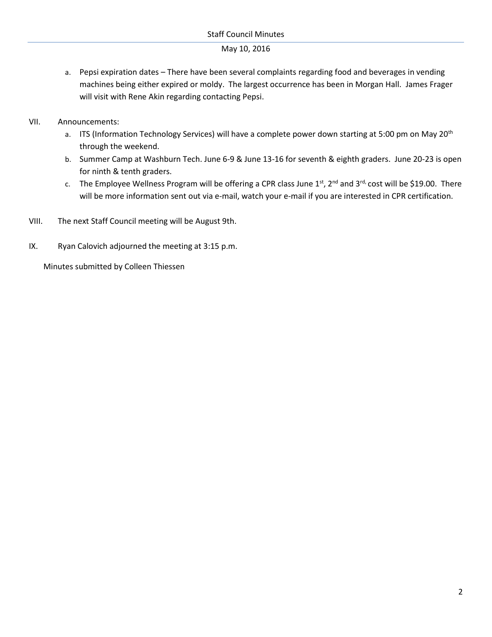## May 10, 2016

- a. Pepsi expiration dates There have been several complaints regarding food and beverages in vending machines being either expired or moldy. The largest occurrence has been in Morgan Hall. James Frager will visit with Rene Akin regarding contacting Pepsi.
- VII. Announcements:
	- a. ITS (Information Technology Services) will have a complete power down starting at 5:00 pm on May 20<sup>th</sup> through the weekend.
	- b. Summer Camp at Washburn Tech. June 6-9 & June 13-16 for seventh & eighth graders. June 20-23 is open for ninth & tenth graders.
	- c. The Employee Wellness Program will be offering a CPR class June  $1^{st}$ ,  $2^{nd}$  and  $3^{rd}$ , cost will be \$19.00. There will be more information sent out via e-mail, watch your e-mail if you are interested in CPR certification.
- VIII. The next Staff Council meeting will be August 9th.
- IX. Ryan Calovich adjourned the meeting at 3:15 p.m.

Minutes submitted by Colleen Thiessen